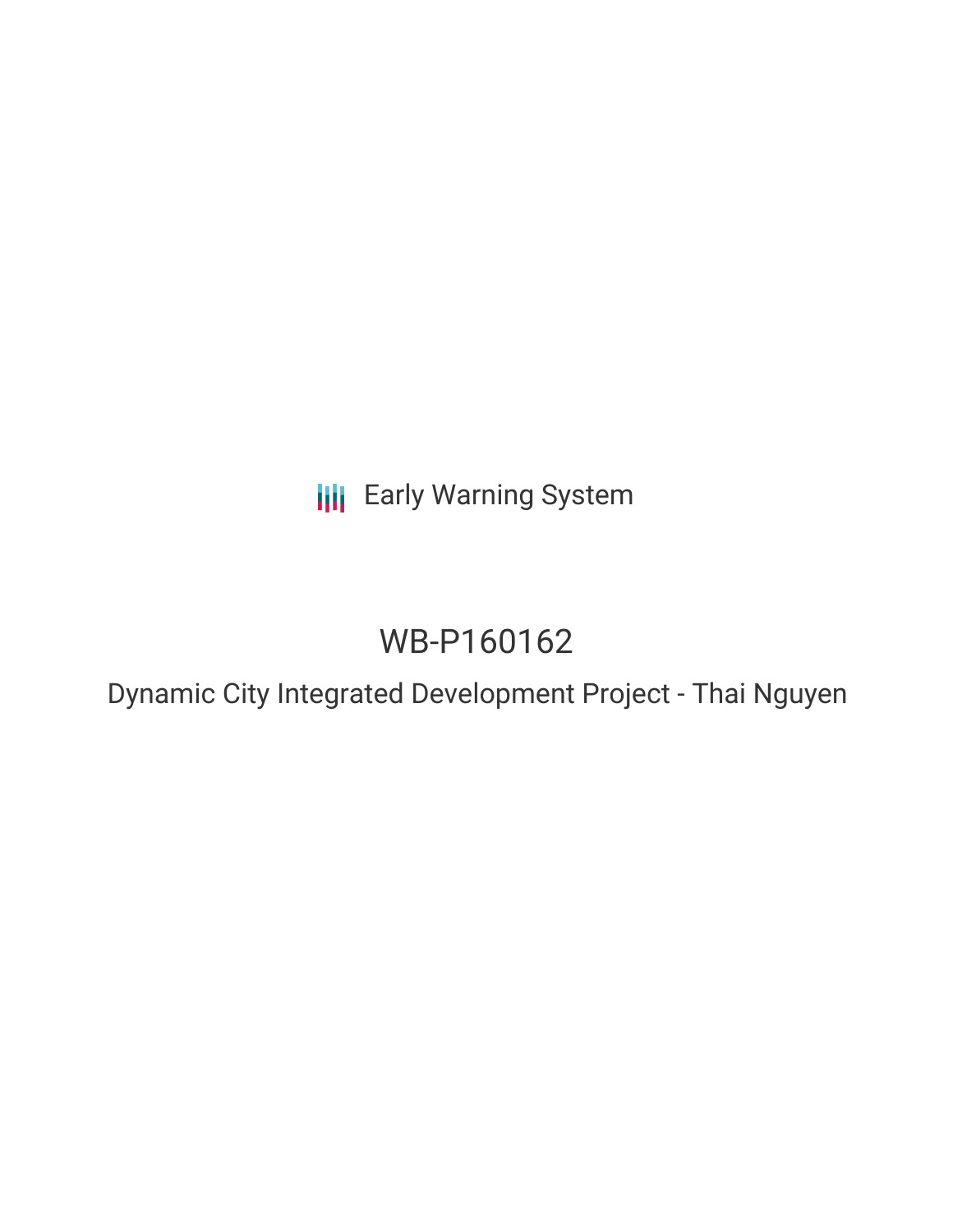**III** Early Warning System

# WB-P160162

Dynamic City Integrated Development Project - Thai Nguyen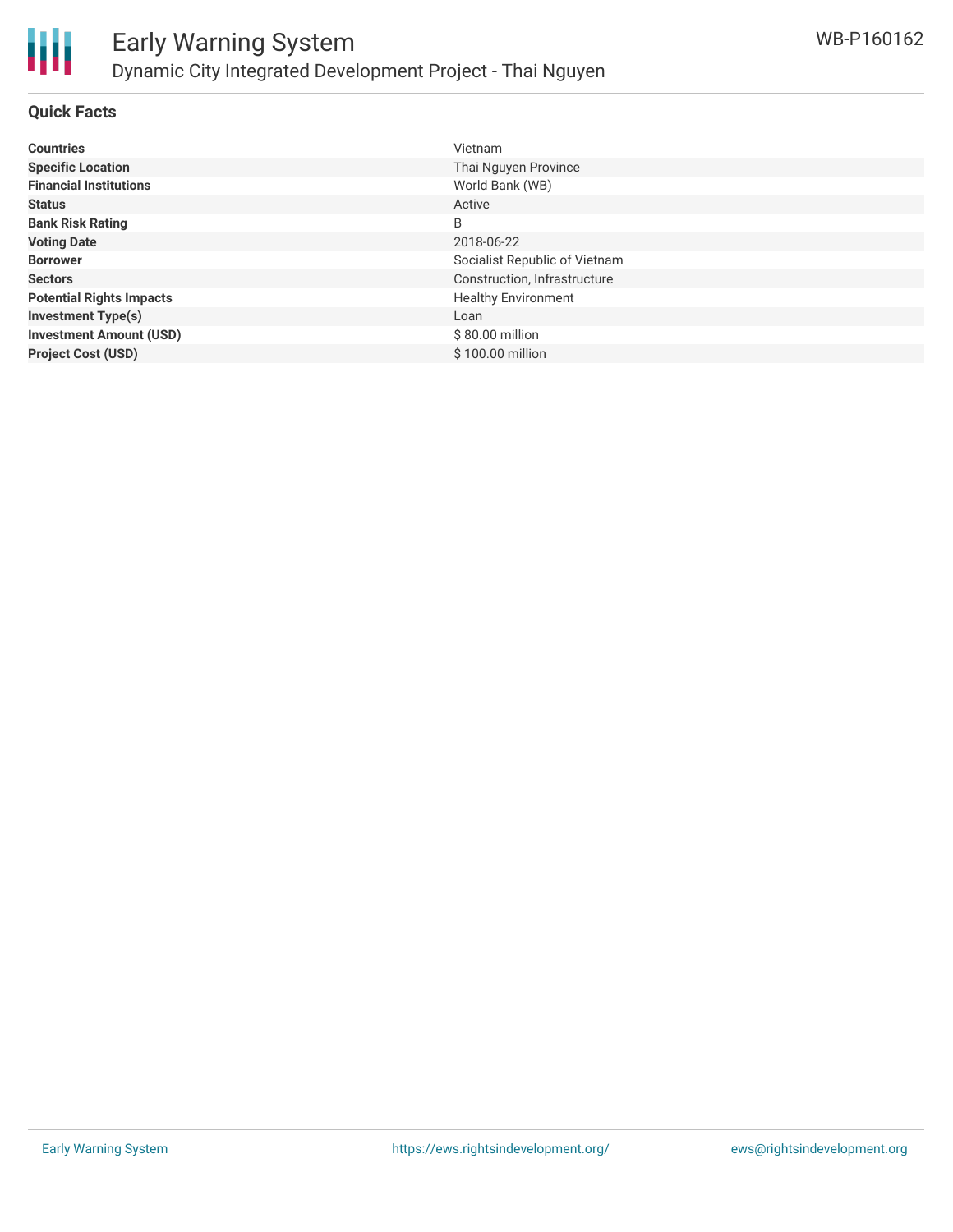

#### **Quick Facts**

| <b>Countries</b>                | Vietnam                       |
|---------------------------------|-------------------------------|
| <b>Specific Location</b>        | Thai Nguyen Province          |
| <b>Financial Institutions</b>   | World Bank (WB)               |
| <b>Status</b>                   | Active                        |
| <b>Bank Risk Rating</b>         | B                             |
| <b>Voting Date</b>              | 2018-06-22                    |
| <b>Borrower</b>                 | Socialist Republic of Vietnam |
| <b>Sectors</b>                  | Construction, Infrastructure  |
| <b>Potential Rights Impacts</b> | <b>Healthy Environment</b>    |
| <b>Investment Type(s)</b>       | Loan                          |
| <b>Investment Amount (USD)</b>  | $$80.00$ million              |
| <b>Project Cost (USD)</b>       | \$100.00 million              |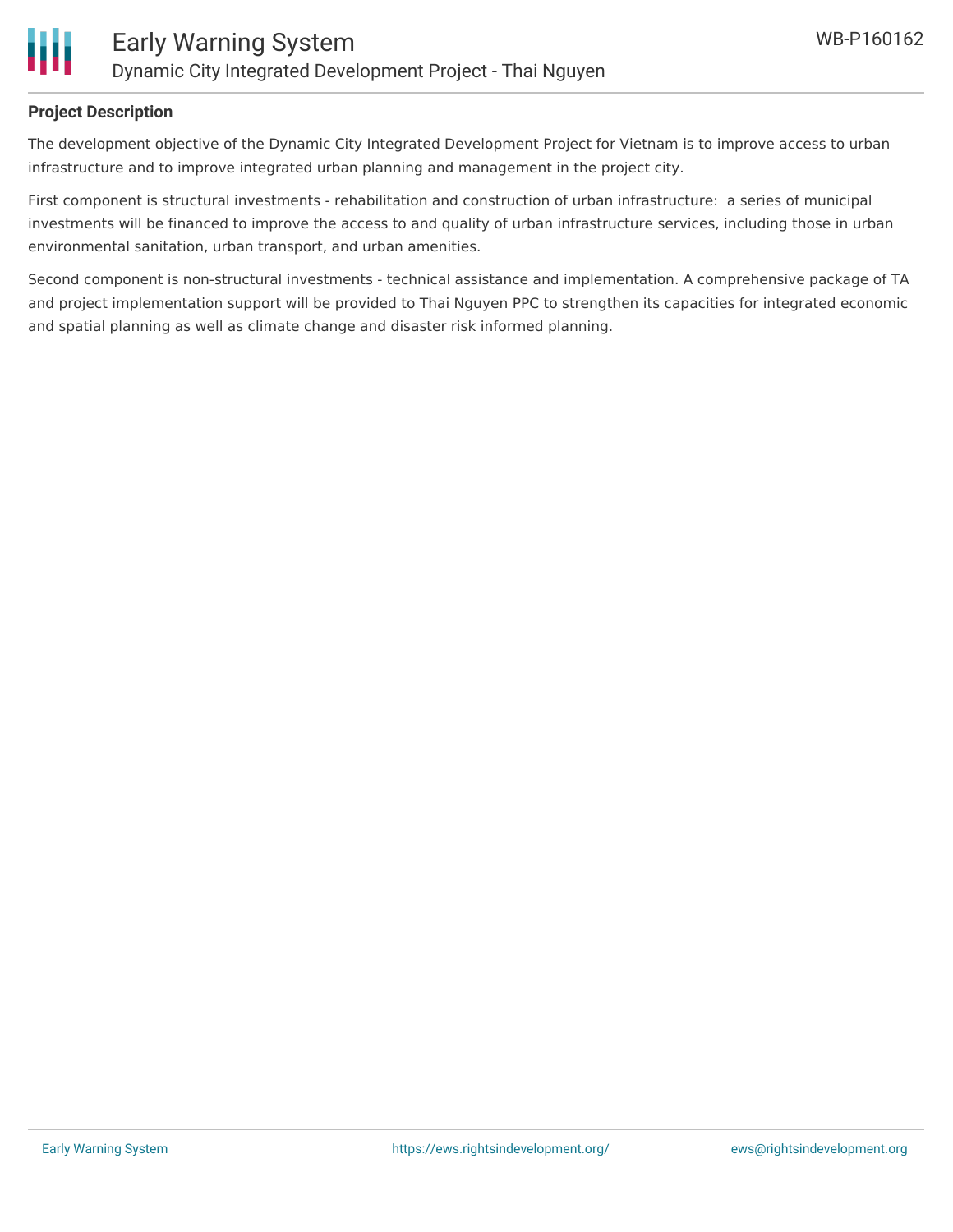

#### **Project Description**

The development objective of the Dynamic City Integrated Development Project for Vietnam is to improve access to urban infrastructure and to improve integrated urban planning and management in the project city.

First component is structural investments - rehabilitation and construction of urban infrastructure: a series of municipal investments will be financed to improve the access to and quality of urban infrastructure services, including those in urban environmental sanitation, urban transport, and urban amenities.

Second component is non-structural investments - technical assistance and implementation. A comprehensive package of TA and project implementation support will be provided to Thai Nguyen PPC to strengthen its capacities for integrated economic and spatial planning as well as climate change and disaster risk informed planning.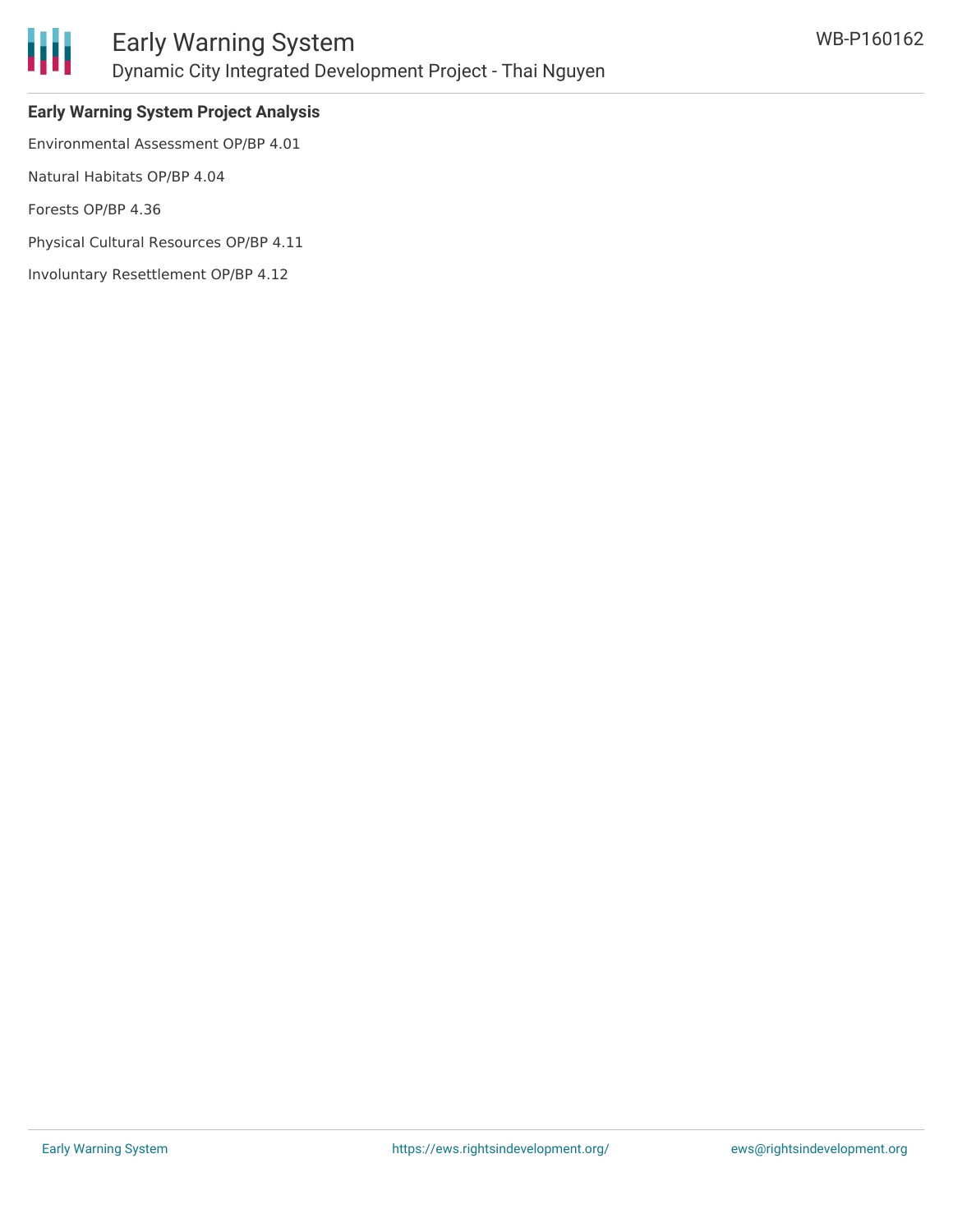

## **Early Warning System Project Analysis**

Environmental Assessment OP/BP 4.01

Natural Habitats OP/BP 4.04

Forests OP/BP 4.36

Physical Cultural Resources OP/BP 4.11

Involuntary Resettlement OP/BP 4.12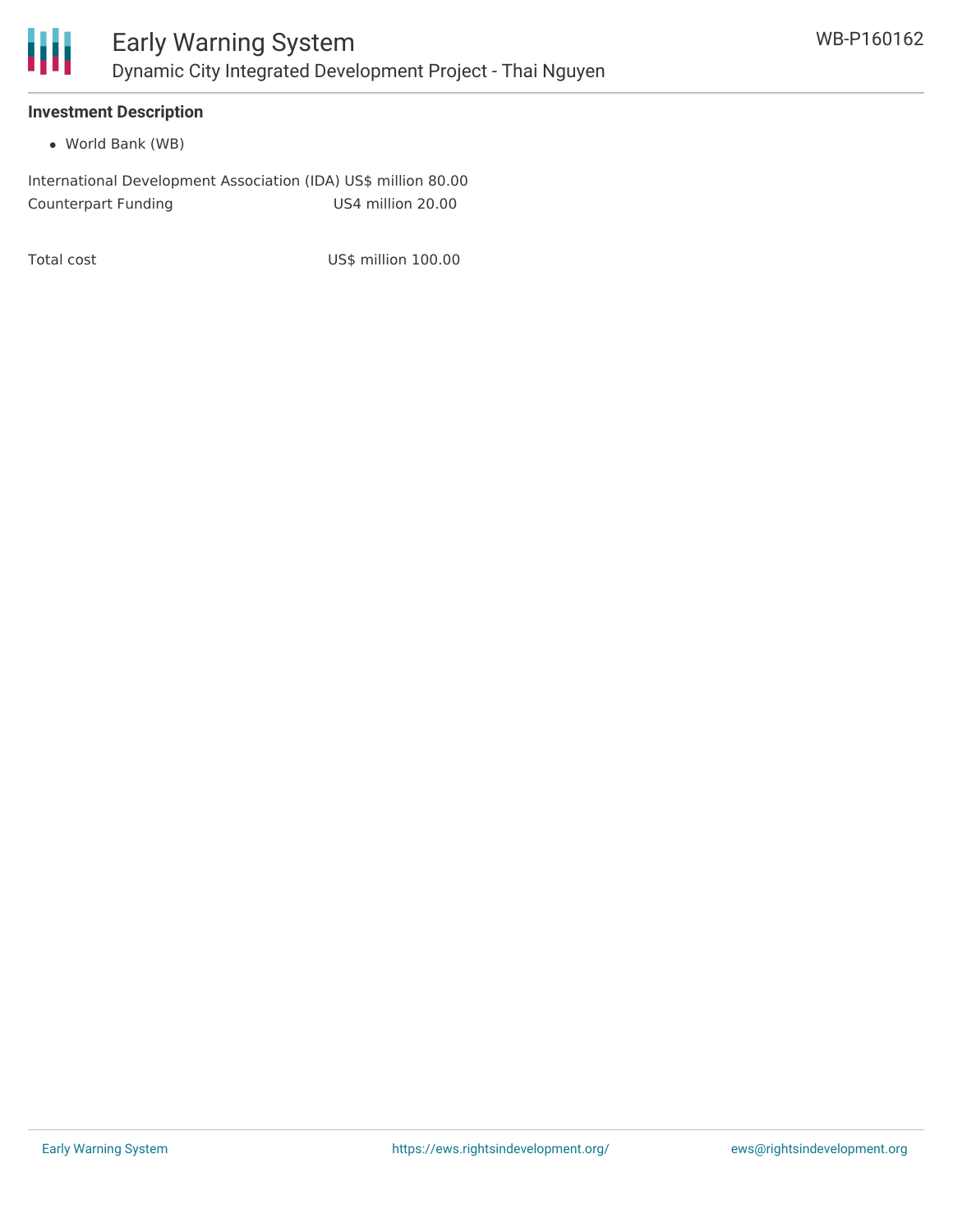

#### **Investment Description**

World Bank (WB)

International Development Association (IDA) US\$ million 80.00 Counterpart Funding US4 million 20.00

Total cost and US\$ million 100.00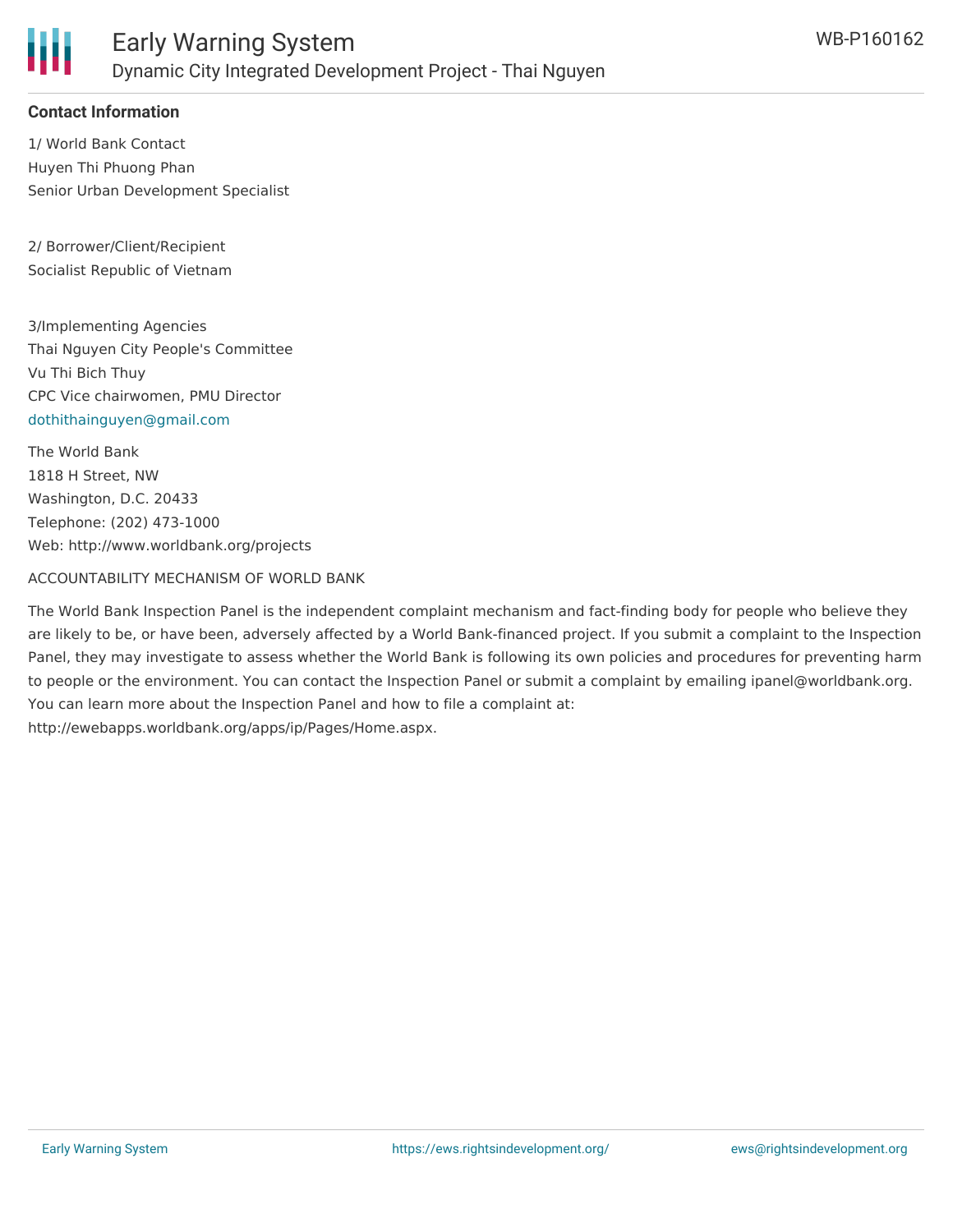

### **Contact Information**

1/ World Bank Contact Huyen Thi Phuong Phan Senior Urban Development Specialist

2/ Borrower/Client/Recipient Socialist Republic of Vietnam

3/Implementing Agencies Thai Nguyen City People's Committee Vu Thi Bich Thuy CPC Vice chairwomen, PMU Director [dothithainguyen@gmail.com](mailto:dothithainguyen@gmail.com)

The World Bank 1818 H Street, NW Washington, D.C. 20433 Telephone: (202) 473-1000 Web: http://www.worldbank.org/projects

#### ACCOUNTABILITY MECHANISM OF WORLD BANK

The World Bank Inspection Panel is the independent complaint mechanism and fact-finding body for people who believe they are likely to be, or have been, adversely affected by a World Bank-financed project. If you submit a complaint to the Inspection Panel, they may investigate to assess whether the World Bank is following its own policies and procedures for preventing harm to people or the environment. You can contact the Inspection Panel or submit a complaint by emailing ipanel@worldbank.org. You can learn more about the Inspection Panel and how to file a complaint at: http://ewebapps.worldbank.org/apps/ip/Pages/Home.aspx.